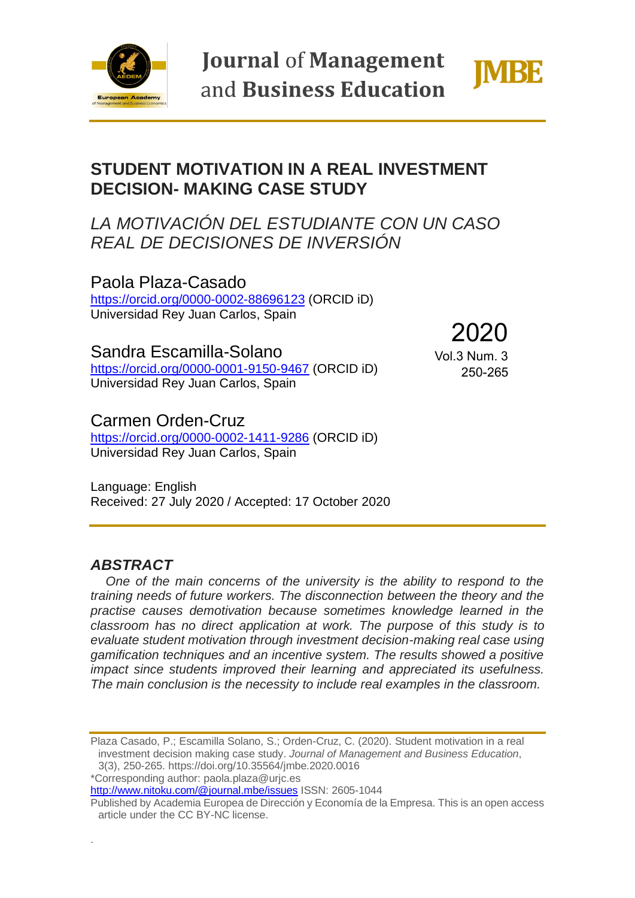

**Journal of Management** and Business Education



# **STUDENT MOTIVATION IN A REAL INVESTMENT DECISION- MAKING CASE STUDY**

## *LA MOTIVACIÓN DEL ESTUDIANTE CON UN CASO REAL DE DECISIONES DE INVERSIÓN*

Paola Plaza-Casado <https://orcid.org/0000-0002-88696123> (ORCID iD) Universidad Rey Juan Carlos, Spain

Sandra Escamilla-Solano <https://orcid.org/0000-0001-9150-9467> (ORCID iD) Universidad Rey Juan Carlos, Spain

2020 Vol.3 Num. 3 250-265

## Carmen Orden-Cruz

<https://orcid.org/0000-0002-1411-9286> (ORCID iD) Universidad Rey Juan Carlos, Spain

Language: English Received: 27 July 2020 / Accepted: 17 October 2020

### *ABSTRACT*

.

*One of the main concerns of the university is the ability to respond to the training needs of future workers. The disconnection between the theory and the practise causes demotivation because sometimes knowledge learned in the classroom has no direct application at work. The purpose of this study is to evaluate student motivation through investment decision-making real case using gamification techniques and an incentive system. The results showed a positive impact since students improved their learning and appreciated its usefulness. The main conclusion is the necessity to include real examples in the classroom.* 

Plaza Casado, P.; Escamilla Solano, S.; Orden-Cruz, C. (2020). Student motivation in a real investment decision making case study. *Journal of Management and Business Education*, 3(3), 250-265. https://doi.org/10.35564/jmbe.2020.0016

\*Corresponding author: paola.plaza@urjc.es

<http://www.nitoku.com/@journal.mbe/issues> ISSN: 2605-1044

Published by Academia Europea de Dirección y Economía de la Empresa. This is an open access article under the CC BY-NC license.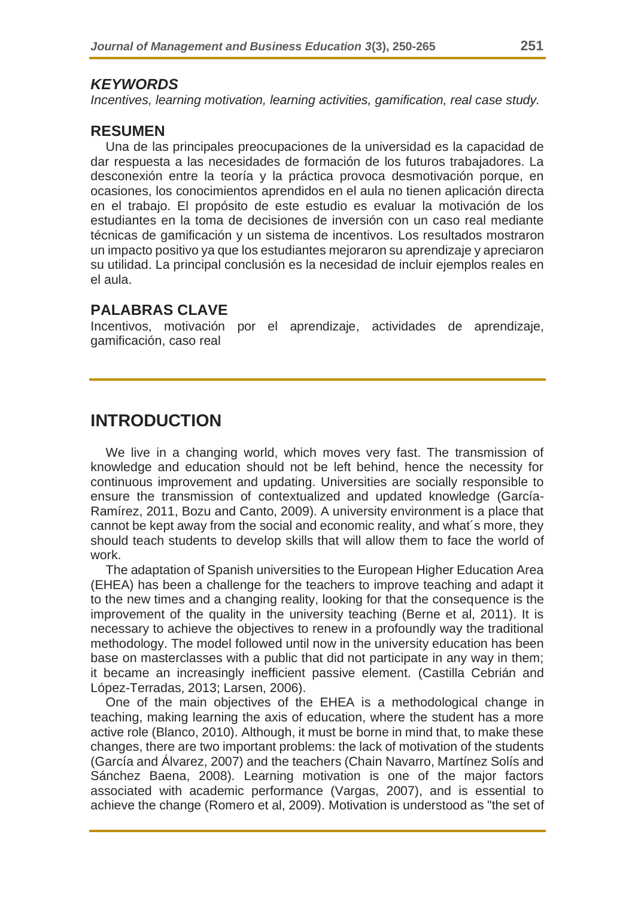#### *KEYWORDS*

*Incentives, learning motivation, learning activities, gamification, real case study.*

#### **RESUMEN**

Una de las principales preocupaciones de la universidad es la capacidad de dar respuesta a las necesidades de formación de los futuros trabajadores. La desconexión entre la teoría y la práctica provoca desmotivación porque, en ocasiones, los conocimientos aprendidos en el aula no tienen aplicación directa en el trabajo. El propósito de este estudio es evaluar la motivación de los estudiantes en la toma de decisiones de inversión con un caso real mediante técnicas de gamificación y un sistema de incentivos. Los resultados mostraron un impacto positivo ya que los estudiantes mejoraron su aprendizaje y apreciaron su utilidad. La principal conclusión es la necesidad de incluir ejemplos reales en el aula.

### **PALABRAS CLAVE**

Incentivos, motivación por el aprendizaje, actividades de aprendizaje, gamificación, caso real

## **INTRODUCTION**

We live in a changing world, which moves very fast. The transmission of knowledge and education should not be left behind, hence the necessity for continuous improvement and updating. Universities are socially responsible to ensure the transmission of contextualized and updated knowledge (García-Ramírez, 2011, Bozu and Canto, 2009). A university environment is a place that cannot be kept away from the social and economic reality, and what´s more, they should teach students to develop skills that will allow them to face the world of work.

The adaptation of Spanish universities to the European Higher Education Area (EHEA) has been a challenge for the teachers to improve teaching and adapt it to the new times and a changing reality, looking for that the consequence is the improvement of the quality in the university teaching (Berne et al, 2011). It is necessary to achieve the objectives to renew in a profoundly way the traditional methodology. The model followed until now in the university education has been base on masterclasses with a public that did not participate in any way in them; it became an increasingly inefficient passive element. (Castilla Cebrián and López-Terradas, 2013; Larsen, 2006).

One of the main objectives of the EHEA is a methodological change in teaching, making learning the axis of education, where the student has a more active role (Blanco, 2010). Although, it must be borne in mind that, to make these changes, there are two important problems: the lack of motivation of the students (García and Álvarez, 2007) and the teachers (Chain Navarro, Martínez Solís and Sánchez Baena, 2008). Learning motivation is one of the major factors associated with academic performance (Vargas, 2007), and is essential to achieve the change (Romero et al, 2009). Motivation is understood as "the set of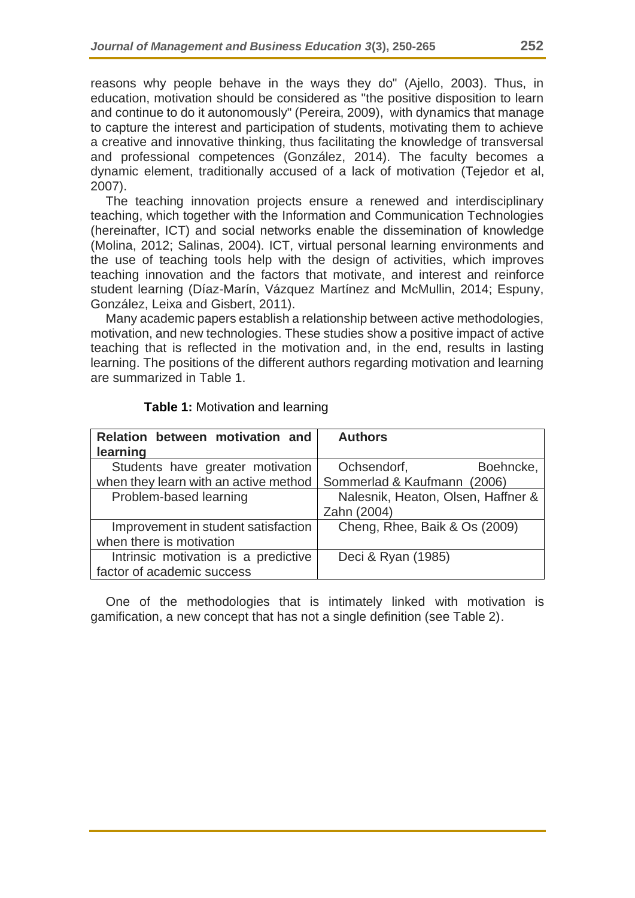reasons why people behave in the ways they do" (Ajello, 2003). Thus, in education, motivation should be considered as "the positive disposition to learn and continue to do it autonomously" (Pereira, 2009), with dynamics that manage to capture the interest and participation of students, motivating them to achieve a creative and innovative thinking, thus facilitating the knowledge of transversal and professional competences (González, 2014). The faculty becomes a dynamic element, traditionally accused of a lack of motivation (Tejedor et al, 2007).

The teaching innovation projects ensure a renewed and interdisciplinary teaching, which together with the Information and Communication Technologies (hereinafter, ICT) and social networks enable the dissemination of knowledge (Molina, 2012; Salinas, 2004). ICT, virtual personal learning environments and the use of teaching tools help with the design of activities, which improves teaching innovation and the factors that motivate, and interest and reinforce student learning (Díaz-Marín, Vázquez Martínez and McMullin, 2014; Espuny, González, Leixa and Gisbert, 2011).

Many academic papers establish a relationship between active methodologies, motivation, and new technologies. These studies show a positive impact of active teaching that is reflected in the motivation and, in the end, results in lasting learning. The positions of the different authors regarding motivation and learning are summarized in Table 1.

| Relation between motivation and       | <b>Authors</b>                     |
|---------------------------------------|------------------------------------|
| learning                              |                                    |
| Students have greater motivation      | Boehncke,<br>Ochsendorf,           |
| when they learn with an active method | Sommerlad & Kaufmann (2006)        |
| Problem-based learning                | Nalesnik, Heaton, Olsen, Haffner & |
|                                       | Zahn (2004)                        |
| Improvement in student satisfaction   | Cheng, Rhee, Baik & Os (2009)      |
| when there is motivation              |                                    |
| Intrinsic motivation is a predictive  | Deci & Ryan (1985)                 |
| factor of academic success            |                                    |

**Table 1:** Motivation and learning

One of the methodologies that is intimately linked with motivation is gamification, a new concept that has not a single definition (see Table 2).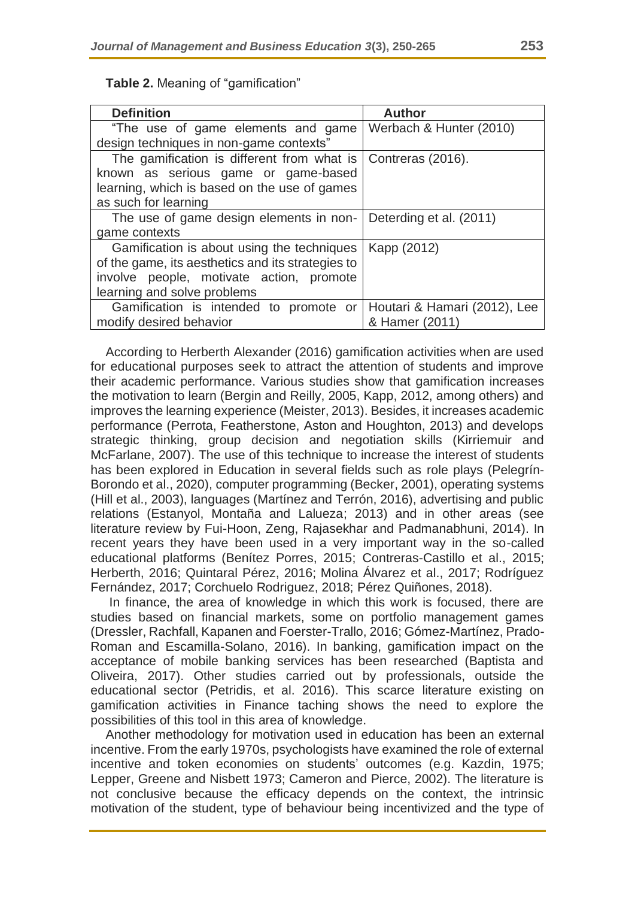| ×<br>- 3<br>٦<br><br>. .<br>۰,<br>v<br>× | ×,<br>I<br>- |
|------------------------------------------|--------------|
|------------------------------------------|--------------|

| <b>Definition</b>                                               | <b>Author</b>                |
|-----------------------------------------------------------------|------------------------------|
| "The use of game elements and game                              | Werbach & Hunter (2010)      |
| design techniques in non-game contexts"                         |                              |
| The gamification is different from what is                      | Contreras (2016).            |
| known as serious game or game-based                             |                              |
| learning, which is based on the use of games                    |                              |
| as such for learning                                            |                              |
| The use of game design elements in non- Deterding et al. (2011) |                              |
| game contexts                                                   |                              |
| Gamification is about using the techniques                      | Kapp (2012)                  |
| of the game, its aesthetics and its strategies to               |                              |
| involve people, motivate action, promote                        |                              |
| learning and solve problems                                     |                              |
| Gamification is intended to promote or                          | Houtari & Hamari (2012), Lee |
| modify desired behavior                                         | & Hamer (2011)               |

**Table 2.** Meaning of "gamification"

According to Herberth Alexander (2016) gamification activities when are used for educational purposes seek to attract the attention of students and improve their academic performance. Various studies show that gamification increases the motivation to learn (Bergin and Reilly, 2005, Kapp, 2012, among others) and improves the learning experience (Meister, 2013). Besides, it increases academic performance (Perrota, Featherstone, Aston and Houghton, 2013) and develops strategic thinking, group decision and negotiation skills (Kirriemuir and McFarlane, 2007). The use of this technique to increase the interest of students has been explored in Education in several fields such as role plays (Pelegrín-Borondo et al., 2020), computer programming (Becker, 2001), operating systems (Hill et al., 2003), languages (Martínez and Terrón, 2016), advertising and public relations (Estanyol, Montaña and Lalueza; 2013) and in other areas (see literature review by Fui-Hoon, Zeng, Rajasekhar and Padmanabhuni, 2014). In recent years they have been used in a very important way in the so-called educational platforms (Benítez Porres, 2015; Contreras-Castillo et al., 2015; Herberth, 2016; Quintaral Pérez, 2016; Molina Álvarez et al., 2017; Rodríguez Fernández, 2017; Corchuelo Rodriguez, 2018; Pérez Quiñones, 2018).

In finance, the area of knowledge in which this work is focused, there are studies based on financial markets, some on portfolio management games (Dressler, Rachfall, Kapanen and Foerster-Trallo, 2016; Gómez-Martínez, Prado-Roman and Escamilla-Solano, 2016). In banking, gamification impact on the acceptance of mobile banking services has been researched (Baptista and Oliveira, 2017). Other studies carried out by professionals, outside the educational sector (Petridis, et al. 2016). This scarce literature existing on gamification activities in Finance taching shows the need to explore the possibilities of this tool in this area of knowledge.

Another methodology for motivation used in education has been an external incentive. From the early 1970s, psychologists have examined the role of external incentive and token economies on students' outcomes (e.g. Kazdin, 1975; Lepper, Greene and Nisbett 1973; Cameron and Pierce, 2002). The literature is not conclusive because the efficacy depends on the context, the intrinsic motivation of the student, type of behaviour being incentivized and the type of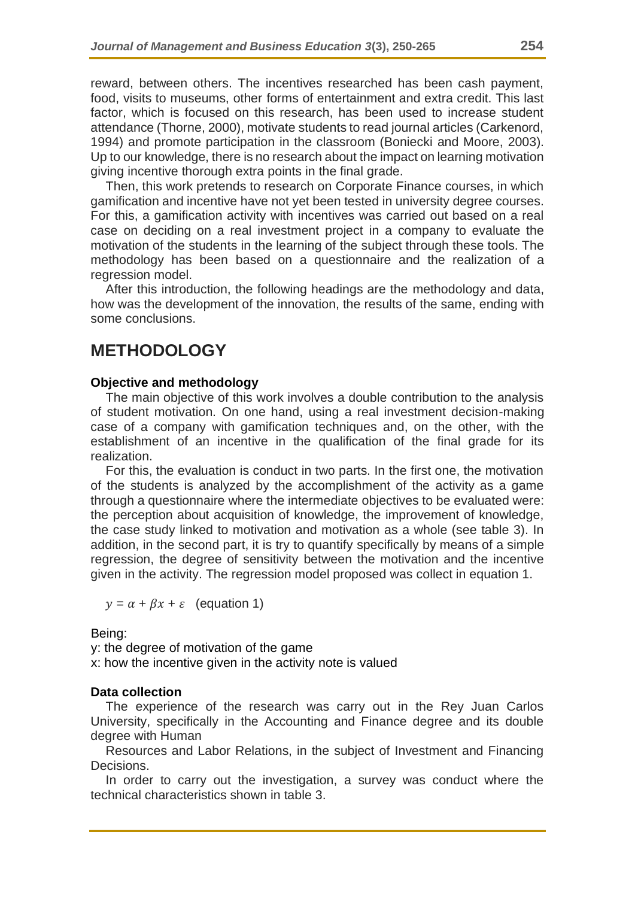reward, between others. The incentives researched has been cash payment, food, visits to museums, other forms of entertainment and extra credit. This last factor, which is focused on this research, has been used to increase student attendance (Thorne, 2000), motivate students to read journal articles (Carkenord, 1994) and promote participation in the classroom (Boniecki and Moore, 2003). Up to our knowledge, there is no research about the impact on learning motivation giving incentive thorough extra points in the final grade.

Then, this work pretends to research on Corporate Finance courses, in which gamification and incentive have not yet been tested in university degree courses. For this, a gamification activity with incentives was carried out based on a real case on deciding on a real investment project in a company to evaluate the motivation of the students in the learning of the subject through these tools. The methodology has been based on a questionnaire and the realization of a regression model.

After this introduction, the following headings are the methodology and data, how was the development of the innovation, the results of the same, ending with some conclusions.

# **METHODOLOGY**

#### **Objective and methodology**

The main objective of this work involves a double contribution to the analysis of student motivation. On one hand, using a real investment decision-making case of a company with gamification techniques and, on the other, with the establishment of an incentive in the qualification of the final grade for its realization.

For this, the evaluation is conduct in two parts. In the first one, the motivation of the students is analyzed by the accomplishment of the activity as a game through a questionnaire where the intermediate objectives to be evaluated were: the perception about acquisition of knowledge, the improvement of knowledge, the case study linked to motivation and motivation as a whole (see table 3). In addition, in the second part, it is try to quantify specifically by means of a simple regression, the degree of sensitivity between the motivation and the incentive given in the activity. The regression model proposed was collect in equation 1.

 $y = \alpha + \beta x + \varepsilon$  (equation 1)

Being:

y: the degree of motivation of the game x: how the incentive given in the activity note is valued

#### **Data collection**

The experience of the research was carry out in the Rey Juan Carlos University, specifically in the Accounting and Finance degree and its double degree with Human

Resources and Labor Relations, in the subject of Investment and Financing Decisions.

In order to carry out the investigation, a survey was conduct where the technical characteristics shown in table 3.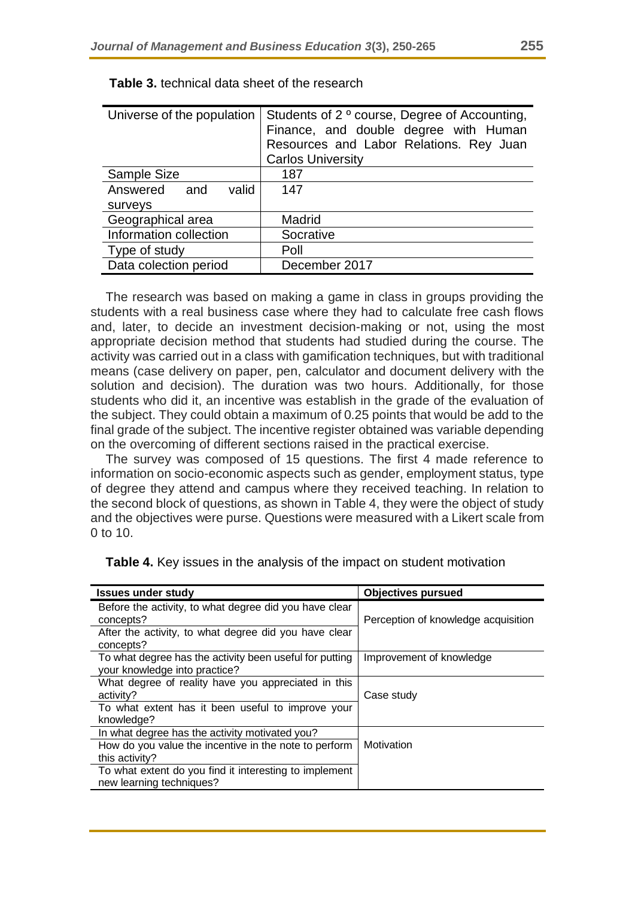| Universe of the population | Students of 2 <sup>°</sup> course, Degree of Accounting,<br>Finance, and double degree with Human<br>Resources and Labor Relations. Rey Juan<br><b>Carlos University</b> |
|----------------------------|--------------------------------------------------------------------------------------------------------------------------------------------------------------------------|
| <b>Sample Size</b>         | 187                                                                                                                                                                      |
| Answered and<br>valid      | 147                                                                                                                                                                      |
| surveys                    |                                                                                                                                                                          |
| Geographical area          | Madrid                                                                                                                                                                   |
| Information collection     | Socrative                                                                                                                                                                |
| Type of study              | Poll                                                                                                                                                                     |
| Data colection period      | December 2017                                                                                                                                                            |
|                            |                                                                                                                                                                          |

| Table 3. technical data sheet of the research |
|-----------------------------------------------|
|                                               |

The research was based on making a game in class in groups providing the students with a real business case where they had to calculate free cash flows and, later, to decide an investment decision-making or not, using the most appropriate decision method that students had studied during the course. The activity was carried out in a class with gamification techniques, but with traditional means (case delivery on paper, pen, calculator and document delivery with the solution and decision). The duration was two hours. Additionally, for those students who did it, an incentive was establish in the grade of the evaluation of the subject. They could obtain a maximum of 0.25 points that would be add to the final grade of the subject. The incentive register obtained was variable depending on the overcoming of different sections raised in the practical exercise.

The survey was composed of 15 questions. The first 4 made reference to information on socio-economic aspects such as gender, employment status, type of degree they attend and campus where they received teaching. In relation to the second block of questions, as shown in Table 4, they were the object of study and the objectives were purse. Questions were measured with a Likert scale from 0 to 10.

| <b>Issues under study</b>                                                                | <b>Objectives pursued</b>           |
|------------------------------------------------------------------------------------------|-------------------------------------|
| Before the activity, to what degree did you have clear<br>concepts?                      | Perception of knowledge acquisition |
| After the activity, to what degree did you have clear<br>concepts?                       |                                     |
| To what degree has the activity been useful for putting<br>your knowledge into practice? | Improvement of knowledge            |
| What degree of reality have you appreciated in this<br>activity?                         | Case study                          |
| To what extent has it been useful to improve your<br>knowledge?                          |                                     |
| In what degree has the activity motivated you?                                           |                                     |
| How do you value the incentive in the note to perform                                    | Motivation                          |
| this activity?                                                                           |                                     |
| To what extent do you find it interesting to implement<br>new learning techniques?       |                                     |

**Table 4.** Key issues in the analysis of the impact on student motivation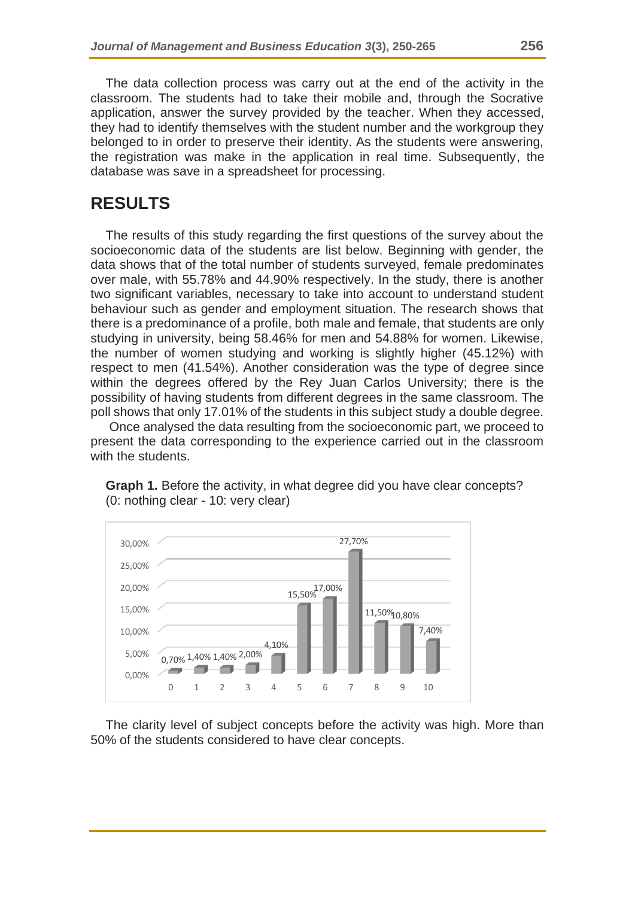The data collection process was carry out at the end of the activity in the classroom. The students had to take their mobile and, through the Socrative application, answer the survey provided by the teacher. When they accessed, they had to identify themselves with the student number and the workgroup they belonged to in order to preserve their identity. As the students were answering, the registration was make in the application in real time. Subsequently, the database was save in a spreadsheet for processing.

## **RESULTS**

The results of this study regarding the first questions of the survey about the socioeconomic data of the students are list below. Beginning with gender, the data shows that of the total number of students surveyed, female predominates over male, with 55.78% and 44.90% respectively. In the study, there is another two significant variables, necessary to take into account to understand student behaviour such as gender and employment situation. The research shows that there is a predominance of a profile, both male and female, that students are only studying in university, being 58.46% for men and 54.88% for women. Likewise, the number of women studying and working is slightly higher (45.12%) with respect to men (41.54%). Another consideration was the type of degree since within the degrees offered by the Rey Juan Carlos University; there is the possibility of having students from different degrees in the same classroom. The poll shows that only 17.01% of the students in this subject study a double degree.

Once analysed the data resulting from the socioeconomic part, we proceed to present the data corresponding to the experience carried out in the classroom with the students.



**Graph 1.** Before the activity, in what degree did you have clear concepts? (0: nothing clear - 10: very clear)

The clarity level of subject concepts before the activity was high. More than 50% of the students considered to have clear concepts.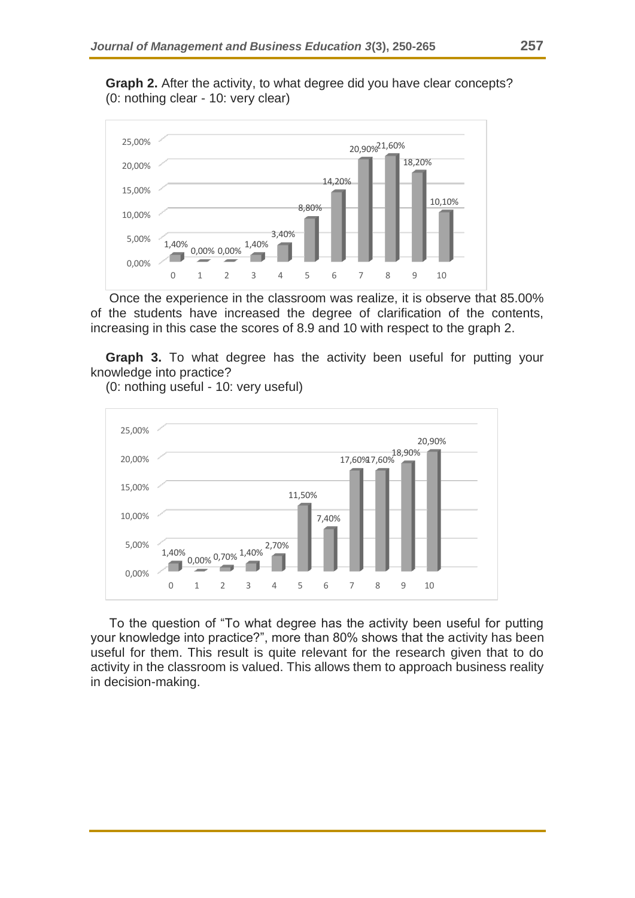**Graph 2.** After the activity, to what degree did you have clear concepts? (0: nothing clear - 10: very clear)



Once the experience in the classroom was realize, it is observe that 85.00% of the students have increased the degree of clarification of the contents, increasing in this case the scores of 8.9 and 10 with respect to the graph 2.

**Graph 3.** To what degree has the activity been useful for putting your knowledge into practice?

(0: nothing useful - 10: very useful)



To the question of "To what degree has the activity been useful for putting your knowledge into practice?", more than 80% shows that the activity has been useful for them. This result is quite relevant for the research given that to do activity in the classroom is valued. This allows them to approach business reality in decision-making.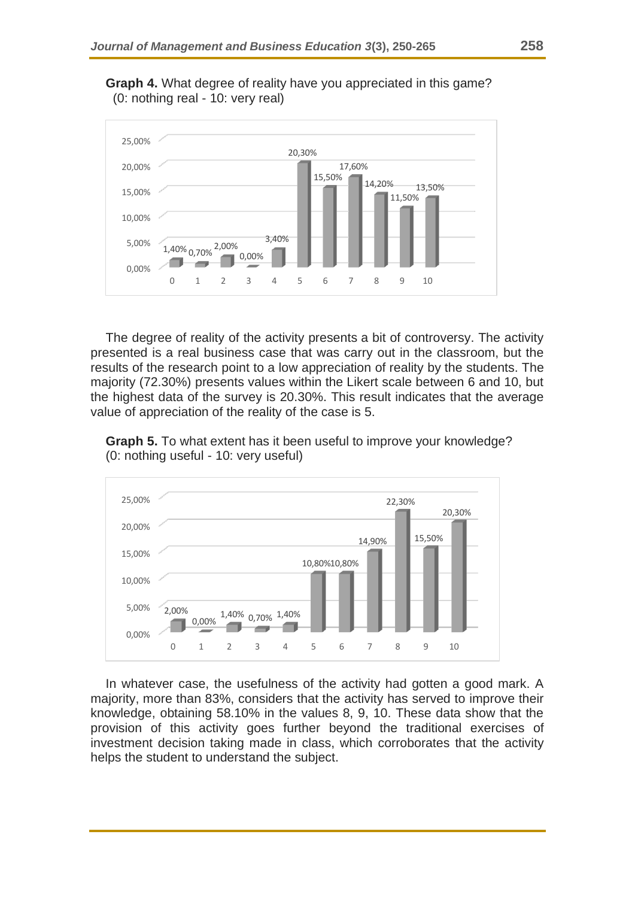



The degree of reality of the activity presents a bit of controversy. The activity presented is a real business case that was carry out in the classroom, but the results of the research point to a low appreciation of reality by the students. The majority (72.30%) presents values within the Likert scale between 6 and 10, but the highest data of the survey is 20.30%. This result indicates that the average value of appreciation of the reality of the case is 5.

**Graph 5.** To what extent has it been useful to improve your knowledge? (0: nothing useful - 10: very useful)



In whatever case, the usefulness of the activity had gotten a good mark. A majority, more than 83%, considers that the activity has served to improve their knowledge, obtaining 58.10% in the values 8, 9, 10. These data show that the provision of this activity goes further beyond the traditional exercises of investment decision taking made in class, which corroborates that the activity helps the student to understand the subject.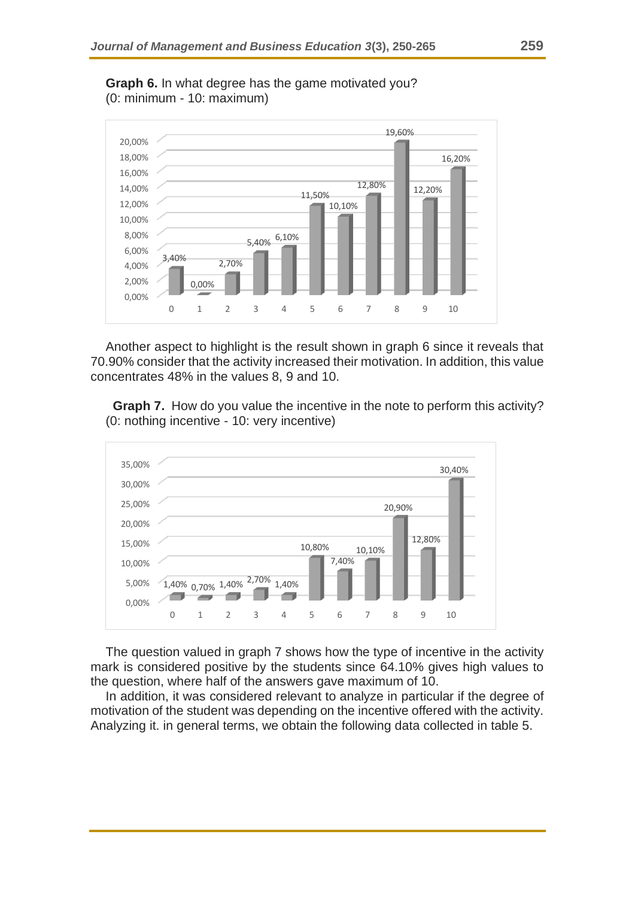

**Graph 6.** In what degree has the game motivated you? (0: minimum - 10: maximum)

Another aspect to highlight is the result shown in graph 6 since it reveals that 70.90% consider that the activity increased their motivation. In addition, this value concentrates 48% in the values 8, 9 and 10.

 **Graph 7.** How do you value the incentive in the note to perform this activity? (0: nothing incentive - 10: very incentive)



The question valued in graph 7 shows how the type of incentive in the activity mark is considered positive by the students since 64.10% gives high values to the question, where half of the answers gave maximum of 10.

In addition, it was considered relevant to analyze in particular if the degree of motivation of the student was depending on the incentive offered with the activity. Analyzing it. in general terms, we obtain the following data collected in table 5.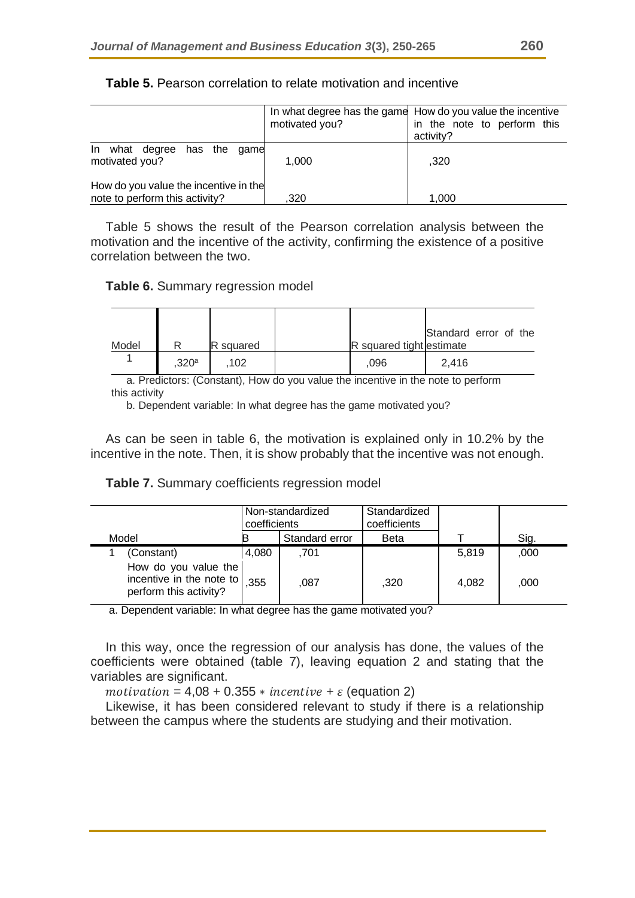|                                                                         | motivated you? | In what degree has the game How do you value the incentive<br>in the note to perform this<br>activity? |
|-------------------------------------------------------------------------|----------------|--------------------------------------------------------------------------------------------------------|
| In what degree<br>has the<br>qame<br>motivated you?                     | 1.000          | .320                                                                                                   |
| How do you value the incentive in the<br>note to perform this activity? | ,320           | 1.000                                                                                                  |

**Table 5.** Pearson correlation to relate motivation and incentive

Table 5 shows the result of the Pearson correlation analysis between the motivation and the incentive of the activity, confirming the existence of a positive correlation between the two.

**Table 6.** Summary regression model

|       |                   |           |                          | Standard error of the |  |  |
|-------|-------------------|-----------|--------------------------|-----------------------|--|--|
| Model |                   | R squared | R squared tight estimate |                       |  |  |
|       | .320 <sup>a</sup> | 102       | ,096                     | 2.416                 |  |  |

a. Predictors: (Constant), How do you value the incentive in the note to perform this activity

b. Dependent variable: In what degree has the game motivated you?

As can be seen in table 6, the motivation is explained only in 10.2% by the incentive in the note. Then, it is show probably that the incentive was not enough.

|  | Table 7. Summary coefficients regression model |  |
|--|------------------------------------------------|--|
|  |                                                |  |

|                                                                            | coefficients | Non-standardized | Standardized<br>coefficients |       |      |
|----------------------------------------------------------------------------|--------------|------------------|------------------------------|-------|------|
| Model                                                                      |              | Standard error   | <b>Beta</b>                  |       | Sig. |
| (Constant)                                                                 | 4,080        | .701             |                              | 5.819 | ,000 |
| How do you value the<br>incentive in the note to<br>perform this activity? | 355          | .087             | ,320                         | 4,082 | ,000 |

a. Dependent variable: In what degree has the game motivated you?

In this way, once the regression of our analysis has done, the values of the coefficients were obtained (table 7), leaving equation 2 and stating that the variables are significant.

 $motion = 4,08 + 0.355 * incentive + \varepsilon$  (equation 2)

Likewise, it has been considered relevant to study if there is a relationship between the campus where the students are studying and their motivation.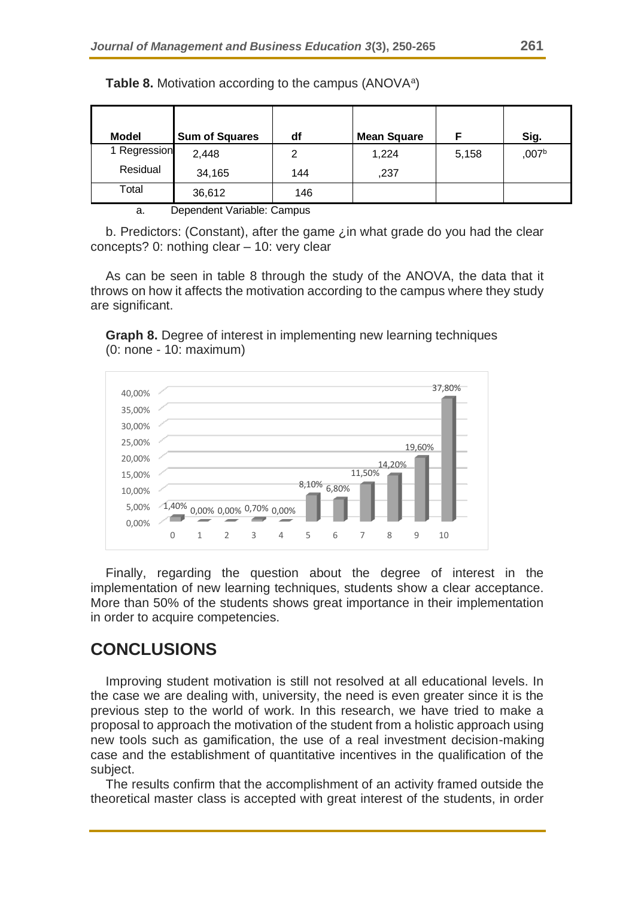| <b>Model</b> | <b>Sum of Squares</b> | df  | <b>Mean Square</b> |       | Sig.              |
|--------------|-----------------------|-----|--------------------|-------|-------------------|
| 1 Regression | 2,448                 | っ   | 1,224              | 5,158 | ,007 <sup>b</sup> |
| Residual     | 34,165                | 144 | ,237               |       |                   |
| Total        | 36,612                | 146 |                    |       |                   |

Table 8. Motivation according to the campus (ANOVA<sup>a</sup>)

a. Dependent Variable: Campus

b. Predictors: (Constant), after the game ¿in what grade do you had the clear concepts? 0: nothing clear – 10: very clear

As can be seen in table 8 through the study of the ANOVA, the data that it throws on how it affects the motivation according to the campus where they study are significant.

**Graph 8.** Degree of interest in implementing new learning techniques (0: none - 10: maximum)



Finally, regarding the question about the degree of interest in the implementation of new learning techniques, students show a clear acceptance. More than 50% of the students shows great importance in their implementation in order to acquire competencies.

# **CONCLUSIONS**

Improving student motivation is still not resolved at all educational levels. In the case we are dealing with, university, the need is even greater since it is the previous step to the world of work. In this research, we have tried to make a proposal to approach the motivation of the student from a holistic approach using new tools such as gamification, the use of a real investment decision-making case and the establishment of quantitative incentives in the qualification of the subject.

The results confirm that the accomplishment of an activity framed outside the theoretical master class is accepted with great interest of the students, in order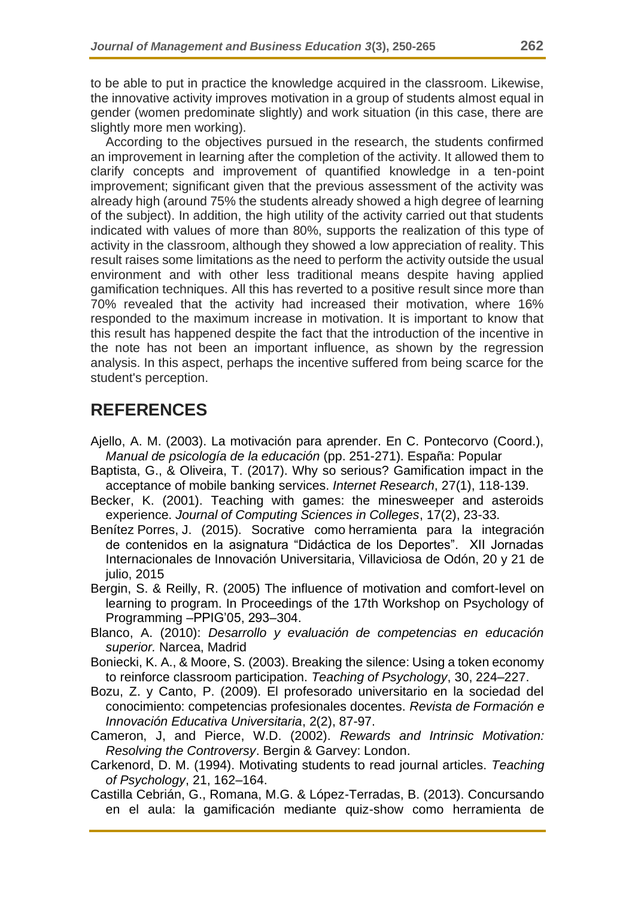to be able to put in practice the knowledge acquired in the classroom. Likewise, the innovative activity improves motivation in a group of students almost equal in gender (women predominate slightly) and work situation (in this case, there are slightly more men working).

According to the objectives pursued in the research, the students confirmed an improvement in learning after the completion of the activity. It allowed them to clarify concepts and improvement of quantified knowledge in a ten-point improvement; significant given that the previous assessment of the activity was already high (around 75% the students already showed a high degree of learning of the subject). In addition, the high utility of the activity carried out that students indicated with values of more than 80%, supports the realization of this type of activity in the classroom, although they showed a low appreciation of reality. This result raises some limitations as the need to perform the activity outside the usual environment and with other less traditional means despite having applied gamification techniques. All this has reverted to a positive result since more than 70% revealed that the activity had increased their motivation, where 16% responded to the maximum increase in motivation. It is important to know that this result has happened despite the fact that the introduction of the incentive in the note has not been an important influence, as shown by the regression analysis. In this aspect, perhaps the incentive suffered from being scarce for the student's perception.

# **REFERENCES**

- Ajello, A. M. (2003). La motivación para aprender. En C. Pontecorvo (Coord.), *Manual de psicología de la educación* (pp. 251-271). España: Popular
- Baptista, G., & Oliveira, T. (2017). Why so serious? Gamification impact in the acceptance of mobile banking services. *Internet Research*, 27(1), 118-139.
- Becker, K. (2001). Teaching with games: the minesweeper and asteroids experience. *Journal of Computing Sciences in Colleges*, 17(2), 23-33.
- Benítez Porres, J. (2015). Socrative como herramienta para la integración de contenidos en la asignatura "Didáctica de los Deportes". XII Jornadas Internacionales de Innovación Universitaria, Villaviciosa de Odón, 20 y 21 de julio, 2015
- Bergin, S. & Reilly, R. (2005) The influence of motivation and comfort-level on learning to program. In Proceedings of the 17th Workshop on Psychology of Programming –PPIG'05, 293–304.
- Blanco, A. (2010): *Desarrollo y evaluación de competencias en educación superior.* Narcea, Madrid
- Boniecki, K. A., & Moore, S. (2003). Breaking the silence: Using a token economy to reinforce classroom participation. *Teaching of Psychology*, 30, 224–227.
- Bozu, Z. y Canto, P. (2009). El profesorado universitario en la sociedad del conocimiento: competencias profesionales docentes. *Revista de Formación e Innovación Educativa Universitaria*, 2(2), 87-97.
- Cameron, J, and Pierce, W.D. (2002). *Rewards and Intrinsic Motivation: Resolving the Controversy*. Bergin & Garvey: London.
- Carkenord, D. M. (1994). Motivating students to read journal articles. *Teaching of Psychology*, 21, 162–164.
- Castilla Cebrián, G., Romana, M.G. & López-Terradas, B. (2013). Concursando en el aula: la gamificación mediante quiz-show como herramienta de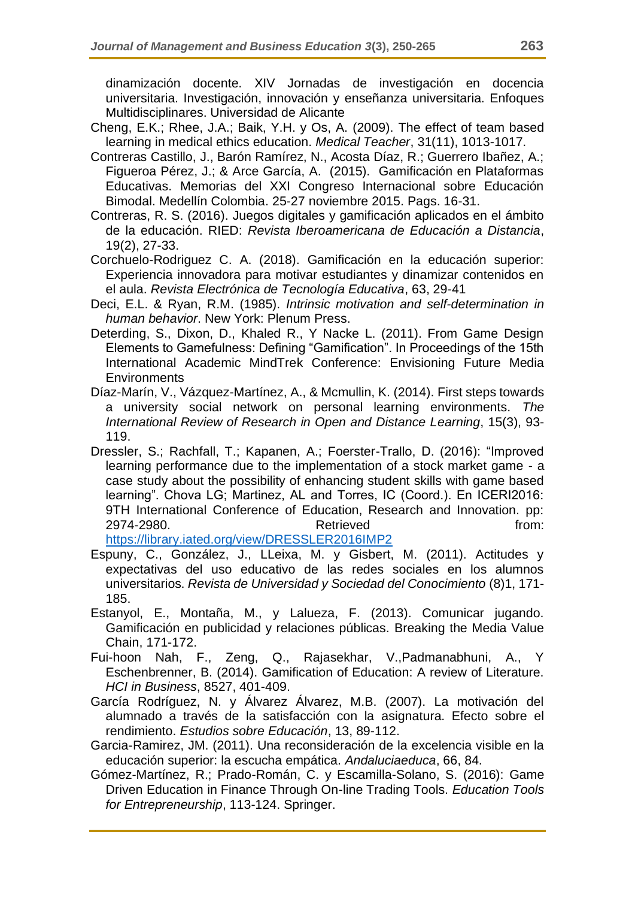dinamización docente. XIV Jornadas de investigación en docencia universitaria. Investigación, innovación y enseñanza universitaria. Enfoques Multidisciplinares. Universidad de Alicante

- Cheng, E.K.; Rhee, J.A.; Baik, Y.H. y Os, A. (2009). The effect of team based learning in medical ethics education. *Medical Teacher*, 31(11), 1013-1017.
- Contreras Castillo, J., Barón Ramírez, N., Acosta Díaz, R.; Guerrero Ibañez, A.; Figueroa Pérez, J.; & Arce García, A. (2015). Gamificación en Plataformas Educativas. Memorias del XXI Congreso Internacional sobre Educación Bimodal. Medellín Colombia. 25-27 noviembre 2015. Pags. 16-31.
- Contreras, R. S. (2016). Juegos digitales y gamificación aplicados en el ámbito de la educación. RIED: *Revista Iberoamericana de Educación a Distancia*, 19(2), 27-33.
- Corchuelo-Rodriguez C. A. (2018). Gamificación en la educación superior: Experiencia innovadora para motivar estudiantes y dinamizar contenidos en el aula. *Revista Electrónica de Tecnología Educativa*, 63, 29-41
- Deci, E.L. & Ryan, R.M. (1985). *Intrinsic motivation and self-determination in human behavior*. New York: Plenum Press.
- Deterding, S., Dixon, D., Khaled R., Y Nacke L. (2011). From Game Design Elements to Gamefulness: Defining "Gamification". In Proceedings of the 15th International Academic MindTrek Conference: Envisioning Future Media **Environments**
- Díaz-Marín, V., Vázquez-Martínez, A., & Mcmullin, K. (2014). First steps towards a university social network on personal learning environments. *The International Review of Research in Open and Distance Learning*, 15(3), 93- 119.
- Dressler, S.; Rachfall, T.; Kapanen, A.; Foerster-Trallo, D. (2016): "Improved learning performance due to the implementation of a stock market game - a case study about the possibility of enhancing student skills with game based learning". Chova LG; Martinez, AL and Torres, IC (Coord.). En ICERI2016: 9TH International Conference of Education, Research and Innovation. pp: 2974-2980. **Retrieved example 10** and the Retrieved **from:**

<https://library.iated.org/view/DRESSLER2016IMP2>

- Espuny, C., González, J., LLeixa, M. y Gisbert, M. (2011). Actitudes y expectativas del uso educativo de las redes sociales en los alumnos universitarios. *Revista de Universidad y Sociedad del Conocimiento* (8)1, 171- 185.
- Estanyol, E., Montaña, M., y Lalueza, F. (2013). Comunicar jugando. Gamificación en publicidad y relaciones públicas. Breaking the Media Value Chain, 171-172.
- Fui-hoon Nah, F., Zeng, Q., Rajasekhar, V.,Padmanabhuni, A., Y Eschenbrenner, B. (2014). Gamification of Education: A review of Literature. *HCI in Business*, 8527, 401-409.
- García Rodríguez, N. y Álvarez Álvarez, M.B. (2007). La motivación del alumnado a través de la satisfacción con la asignatura. Efecto sobre el rendimiento. *Estudios sobre Educación*, 13, 89-112.
- Garcia-Ramirez, JM. (2011). Una reconsideración de la excelencia visible en la educación superior: la escucha empática. *Andaluciaeduca*, 66, 84.
- Gómez-Martínez, R.; Prado-Román, C. y Escamilla-Solano, S. (2016): Game Driven Education in Finance Through On-line Trading Tools. *Education Tools for Entrepreneurship*, 113-124. Springer.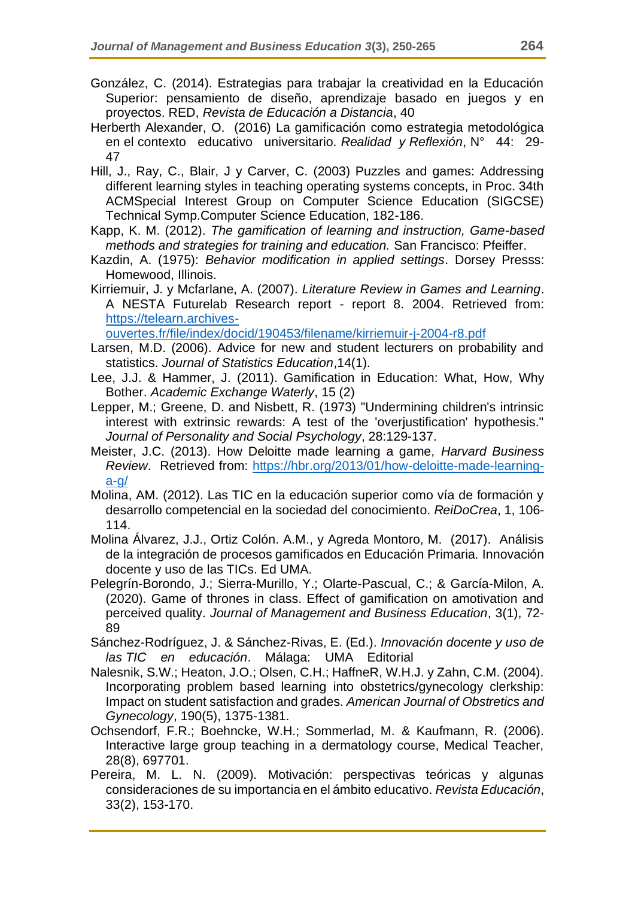- González, C. (2014). Estrategias para trabajar la creatividad en la Educación Superior: pensamiento de diseño, aprendizaje basado en juegos y en proyectos. RED, *Revista de Educación a Distancia*, 40
- Herberth Alexander, O. (2016) La gamificación como estrategia metodológica en el contexto educativo universitario. *Realidad y Reflexión*, N° 44: 29- 47
- Hill, J., Ray, C., Blair, J y Carver, C. (2003) Puzzles and games: Addressing different learning styles in teaching operating systems concepts, in Proc. 34th ACMSpecial Interest Group on Computer Science Education (SIGCSE) Technical Symp.Computer Science Education, 182-186.

Kapp, K. M. (2012). *The gamification of learning and instruction, Game-based methods and strategies for training and education.* San Francisco: Pfeiffer.

Kazdin, A. (1975): *Behavior modification in applied settings*. Dorsey Presss: Homewood, Illinois.

Kirriemuir, J. y Mcfarlane, A. (2007). *Literature Review in Games and Learning*. A NESTA Futurelab Research report - report 8. 2004. Retrieved from: [https://telearn.archives-](https://telearn.archives-ouvertes.fr/file/index/docid/190453/filename/kirriemuir-j-2004-r8.pdf)

[ouvertes.fr/file/index/docid/190453/filename/kirriemuir-j-2004-r8.pdf](https://telearn.archives-ouvertes.fr/file/index/docid/190453/filename/kirriemuir-j-2004-r8.pdf)

- Larsen, M.D. (2006). Advice for new and student lecturers on probability and statistics. *Journal of Statistics Education*,14(1).
- Lee, J.J. & Hammer, J. (2011). Gamification in Education: What, How, Why Bother. *Academic Exchange Waterly*, 15 (2)
- Lepper, M.; Greene, D. and Nisbett, R. (1973) "Undermining children's intrinsic interest with extrinsic rewards: A test of the 'overjustification' hypothesis." *Journal of Personality and Social Psychology*, 28:129-137.
- Meister, J.C. (2013). How Deloitte made learning a game, *Harvard Business Review*. Retrieved from: [https://hbr.org/2013/01/how-deloitte-made-learning](https://hbr.org/2013/01/how-deloitte-made-learning-a-g/)[a-g/](https://hbr.org/2013/01/how-deloitte-made-learning-a-g/)
- Molina, AM. (2012). Las TIC en la educación superior como vía de formación y desarrollo competencial en la sociedad del conocimiento. *ReiDoCrea*, 1, 106- 114.
- Molina Álvarez, J.J., Ortiz Colón. A.M., y Agreda Montoro, M. (2017). Análisis de la integración de procesos gamificados en Educación Primaria. Innovación docente y uso de las TICs. Ed UMA.
- Pelegrín-Borondo, J.; Sierra-Murillo, Y.; Olarte-Pascual, C.; & García-Milon, A. (2020). Game of thrones in class. Effect of gamification on amotivation and perceived quality. *Journal of Management and Business Education*, 3(1), 72- 89

Sánchez-Rodríguez, J. & Sánchez-Rivas, E. (Ed.). *Innovación docente y uso de las TIC en educación*. Málaga: UMA Editorial

- Nalesnik, S.W.; Heaton, J.O.; Olsen, C.H.; HaffneR, W.H.J. y Zahn, C.M. (2004). Incorporating problem based learning into obstetrics/gynecology clerkship: Impact on student satisfaction and grades. *American Journal of Obstretics and Gynecology*, 190(5), 1375-1381.
- Ochsendorf, F.R.; Boehncke, W.H.; Sommerlad, M. & Kaufmann, R. (2006). Interactive large group teaching in a dermatology course, Medical Teacher, 28(8), 697701.
- Pereira, M. L. N. (2009). Motivación: perspectivas teóricas y algunas consideraciones de su importancia en el ámbito educativo. *Revista Educación*, 33(2), 153-170.